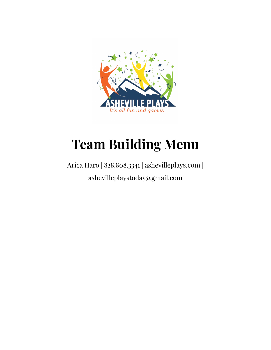

# **Team Building Menu**

# Arica Haro | 828.808.3341 | ashevilleplays.com | ashevilleplaystoday@gmail.com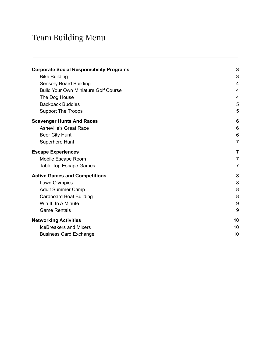#### Team Building Menu

| <b>Corporate Social Responsibility Programs</b> | $\mathbf{3}$   |
|-------------------------------------------------|----------------|
| <b>Bike Building</b>                            | $\mathfrak{S}$ |
| <b>Sensory Board Building</b>                   | 4              |
| <b>Build Your Own Miniature Golf Course</b>     | 4              |
| The Dog House                                   | 4              |
| <b>Backpack Buddies</b>                         | 5              |
| <b>Support The Troops</b>                       | 5              |
| <b>Scavenger Hunts And Races</b>                | 6              |
| <b>Asheville's Great Race</b>                   | 6              |
| Beer City Hunt                                  | 6              |
| Superhero Hunt                                  | $\overline{7}$ |
| <b>Escape Experiences</b>                       | 7              |
| Mobile Escape Room                              | $\overline{7}$ |
| <b>Table Top Escape Games</b>                   | $\overline{7}$ |
| <b>Active Games and Competitions</b>            | 8              |
| Lawn Olympics                                   | 8              |
| <b>Adult Summer Camp</b>                        | 8              |
| <b>Cardboard Boat Building</b>                  | 8              |
| Win It, In A Minute                             | 9              |
| <b>Game Rentals</b>                             | 9              |
| <b>Networking Activities</b>                    | 10             |
| <b>IceBreakers and Mixers</b>                   | 10             |
| <b>Business Card Exchange</b>                   | 10             |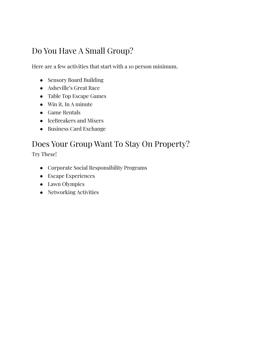# Do You Have A Small Group?

Here are a few activities that start with a 10 person minimum.

- Sensory Board Building
- Asheville's Great Race
- Table Top Escape Games
- Win it, In A minute
- Game Rentals
- IceBreakers and Mixers
- Business Card Exchange

## Does Your Group Want To Stay On Property?

Try These!

- Corporate Social Responsibility Programs
- Escape Experiences
- Lawn Olympics
- <span id="page-2-0"></span>● Networking Activities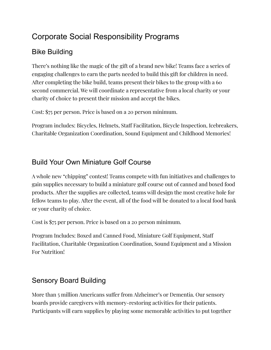# Corporate Social Responsibility Programs

#### <span id="page-3-0"></span>Bike Building

There's nothing like the magic of the gift of a brand new bike! Teams face a series of engaging challenges to earn the parts needed to build this gift for children in need. After completing the bike build, teams present their bikes to the group with a 60 second commercial. We will coordinate a representative from a local charity or your charity of choice to present their mission and accept the bikes.

Cost: \$75 per person. Price is based on a 20 person minimum.

Program includes: Bicycles, Helmets, Staff Facilitation, Bicycle Inspection, Icebreakers, Charitable Organization Coordination, Sound Equipment and Childhood Memories!

#### <span id="page-3-2"></span>Build Your Own Miniature Golf Course

A whole new "chipping" contest! Teams compete with fun initiatives and challenges to gain supplies necessary to build a miniature golf course out of canned and boxed food products. After the supplies are collected, teams will design the most creative hole for fellow teams to play. After the event, all of the food will be donated to a local food bank or your charity of choice.

Cost is \$75 per person. Price is based on a 20 person minimum.

Program Includes: Boxed and Canned Food, Miniature Golf Equipment, Staff Facilitation, Charitable Organization Coordination, Sound Equipment and a Mission For Nutrition!

#### <span id="page-3-1"></span>Sensory Board Building

More than 5 million Americans suffer from Alzheimer's or Dementia. Our sensory boards provide caregivers with memory-restoring activities for their patients. Participants will earn supplies by playing some memorable activities to put together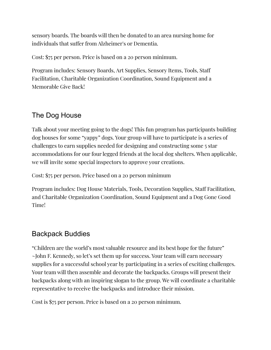sensory boards. The boards will then be donated to an area nursing home for individuals that suffer from Alzheimer's or Dementia.

Cost: \$75 per person. Price is based on a 20 person minimum.

Program includes: Sensory Boards, Art Supplies, Sensory Items, Tools, Staff Facilitation, Charitable Organization Coordination, Sound Equipment and a Memorable Give Back!

#### <span id="page-4-0"></span>The Dog House

Talk about your meeting going to the dogs! This fun program has participants building dog houses for some "yappy" dogs. Your group will have to participate is a series of challenges to earn supplies needed for designing and constructing some 5 star accommodations for our four legged friends at the local dog shelters. When applicable, we will invite some special inspectors to approve your creations.

Cost: \$75 per person. Price based on a 20 person minimum

Program includes: Dog House Materials, Tools, Decoration Supplies, Staff Facilitation, and Charitable Organization Coordination, Sound Equipment and a Dog Gone Good Time!

#### <span id="page-4-1"></span>Backpack Buddies

"Children are the world's most valuable resource and its best hope for the future" ~John F. Kennedy, so let's set them up for success. Your team will earn necessary supplies for a successful school year by participating in a series of exciting challenges. Your team will then assemble and decorate the backpacks. Groups will present their backpacks along with an inspiring slogan to the group. We will coordinate a charitable representative to receive the backpacks and introduce their mission.

Cost is \$75 per person. Price is based on a 20 person minimum.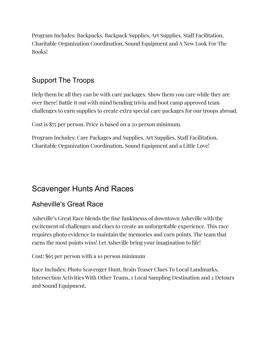Program Includes: Backpacks, Backpack Supplies, Art Supplies, Staff Facilitation, Charitable Organization Coordination, Sound Equipment and A New Look For The Books!

#### <span id="page-5-0"></span>Support The Troops

Help them be all they can be with care packages. Show them you care while they are over there! Battle it out with mind bending trivia and boot camp approved team challenges to earn supplies to create extra special care packages for our troops abroad.

Cost is \$75 per person. Price is based on a 20 person minimum.

Program Includes: Care Packages and Supplies, Art Supplies, Staff Facilitation, Charitable Organization Coordination, Sound Equipment and a Little Love!

# Scavenger Hunts And Races

#### <span id="page-5-1"></span>Asheville's Great Race

Asheville's Great Race blends the fine funkinesss of downtown Asheville with the excitement of challenges and clues to create an unforgettable experience. This race requires photo evidence to maintain the memories and earn points. The team that earns the most points wins! Let Asheville bring your imagination to life!

#### Cost: \$65 per person with a 10 person minimum

Race Includes: Photo Scavenger Hunt, Brain Teaser Clues To Local Landmarks, Intersection Activities With Other Teams, 1 Local Sampling Destination and 2 Detours and Sound Equipment.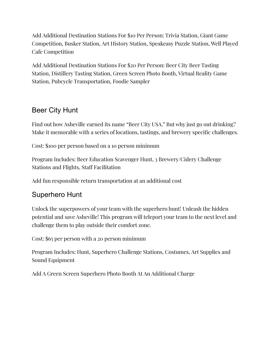Add Additional Destination Stations For \$10 Per Person: Trivia Station, Giant Game Competition, Busker Station, Art History Station, Speakeasy Puzzle Station, Well Played Cafe Competition

Add Additional Destination Stations For \$20 Per Person: Beer City Beer Tasting Station, Distillery Tasting Station, Green Screen Photo Booth, Virtual Reality Game Station, Pubcycle Transportation, Foodie Sampler

#### <span id="page-6-0"></span>Beer City Hunt

Find out how Asheville earned its name "Beer City USA." But why just go out drinking? Make it memorable with a series of locations, tastings, and brewery specific challenges.

Cost: \$100 per person based on a 10 person minimum

Program Includes: Beer Education Scavenger Hunt, 3 Brewery/Cidery Challenge Stations and Flights, Staff Facilitation

Add fun responsible return transportation at an additional cost

#### <span id="page-6-1"></span>Superhero Hunt

Unlock the superpowers of your team with the superhero hunt! Unleash the hidden potential and save Asheville! This program will teleport your team to the next level and challenge them to play outside their comfort zone.

Cost: \$65 per person with a 20 person minimum

Program Includes: Hunt, Superhero Challenge Stations, Costumes, Art Supplies and Sound Equipment

Add A Green Screen Superhero Photo Booth At An Additional Charge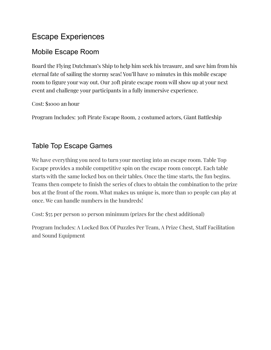# Escape Experiences

#### <span id="page-7-0"></span>Mobile Escape Room

Board the Flying Dutchman's Ship to help him seek his treasure, and save him from his eternal fate of sailing the stormy seas! You'll have 10 minutes in this mobile escape room to figure your way out. Our 20ft pirate escape room will show up at your next event and challenge your participants in a fully immersive experience.

Cost: \$1000 an hour

<span id="page-7-1"></span>Program Includes: 30ft Pirate Escape Room, 2 costumed actors, Giant Battleship

#### Table Top Escape Games

We have everything you need to turn your meeting into an escape room. Table Top Escape provides a mobile competitive spin on the escape room concept. Each table starts with the same locked box on their tables. Once the time starts, the fun begins. Teams then compete to finish the series of clues to obtain the combination to the prize box at the front of the room. What makes us unique is, more than 10 people can play at once. We can handle numbers in the hundreds!

Cost: \$55 per person 10 person minimum (prizes for the chest additional)

Program Includes: A Locked Box Of Puzzles Per Team, A Prize Chest, Staff Facilitation and Sound Equipment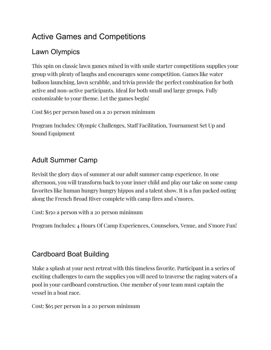# Active Games and Competitions

#### <span id="page-8-0"></span>Lawn Olympics

This spin on classic lawn games mixed in with smile starter competitions supplies your group with plenty of laughs and encourages some competition. Games like water balloon launching, lawn scrabble, and trivia provide the perfect combination for both active and non-active participants. Ideal for both small and large groups. Fully customizable to your theme. Let the games begin!

Cost \$65 per person based on a 20 person minimum

Program Includes: Olympic Challenges, Staff Facilitation, Tournament Set Up and Sound Equipment

## <span id="page-8-1"></span>Adult Summer Camp

Revisit the glory days of summer at our adult summer camp experience. In one afternoon, you will transform back to your inner child and play our take on some camp favorites like human hungry hungry hippos and a talent show. It is a fun packed outing along the French Broad River complete with camp fires and s'mores.

Cost: \$150 a person with a 20 person minimum

<span id="page-8-2"></span>Program Includes: 4 Hours Of Camp Experiences, Counselors, Venue, and S'more Fun!

## Cardboard Boat Building

Make a splash at your next retreat with this timeless favorite. Participant in a series of exciting challenges to earn the supplies you will need to traverse the raging waters of a pool in your cardboard construction. One member of your team must captain the vessel in a boat race.

Cost: \$65 per person in a 20 person minimum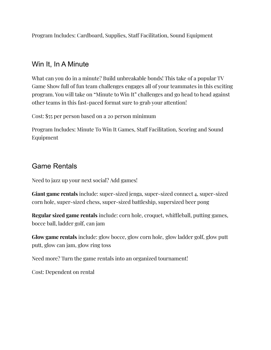<span id="page-9-0"></span>Program Includes: Cardboard, Supplies, Staff Facilitation, Sound Equipment

#### Win It, In A Minute

What can you do in a minute? Build unbreakable bonds! This take of a popular TV Game Show full of fun team challenges engages all of your teammates in this exciting program. You will take on "Minute to Win It" challenges and go head to head against other teams in this fast-paced format sure to grab your attention!

Cost: \$55 per person based on a 20 person minimum

Program Includes: Minute To Win It Games, Staff Facilitation, Scoring and Sound Equipment

#### <span id="page-9-1"></span>Game Rentals

Need to jazz up your next social? Add games!

**Giant game rentals** include: super-sized jenga, super-sized connect 4, super-sized corn hole, super-sized chess, super-sized battleship, supersized beer pong

**Regular sized game rentals** include: corn hole, croquet, whiffleball, putting games, bocce ball, ladder golf, can jam

**Glow game rentals** include: glow bocce, glow corn hole, glow ladder golf, glow putt putt, glow can jam, glow ring toss

Need more? Turn the game rentals into an organized tournament!

Cost: Dependent on rental